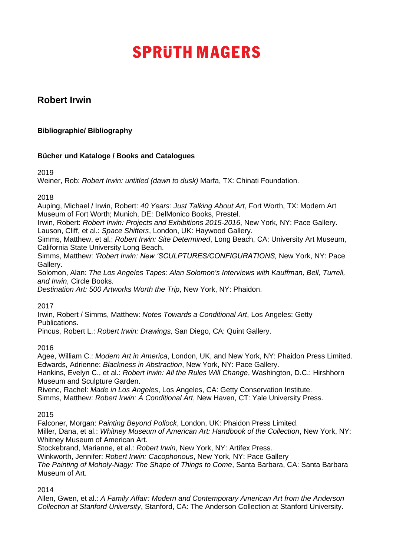## **Robert Irwin**

## **Bibliographie/ Bibliography**

## **Bücher und Kataloge / Books and Catalogues**

2019

Weiner, Rob: *Robert Irwin: untitled (dawn to dusk)* Marfa, TX: Chinati Foundation.

## 2018

Auping, Michael / Irwin, Robert: *40 Years: Just Talking About Art*, Fort Worth, TX: Modern Art Museum of Fort Worth; Munich, DE: DelMonico Books, Prestel.

Irwin, Robert: *Robert Irwin: Projects and Exhibitions 2015-2016*, New York, NY: Pace Gallery. Lauson, Cliff, et al.: *Space Shifters*, London, UK: Haywood Gallery.

Simms, Matthew, et al.: *Robert Irwin: Site Determined*, Long Beach, CA: University Art Museum, California State University Long Beach.

Simms, Matthew: *'Robert Irwin: New 'SCULPTURES/CONFIGURATIONS,* New York, NY: Pace Gallery.

Solomon, Alan: *The Los Angeles Tapes: Alan Solomon's Interviews with Kauffman, Bell, Turrell, and Irwin*, Circle Books.

*Destination Art: 500 Artworks Worth the Trip*, New York, NY: Phaidon.

2017

Irwin, Robert / Simms, Matthew: *Notes Towards a Conditional Art*, Los Angeles: Getty Publications.

Pincus, Robert L.: *Robert Irwin: Drawings,* San Diego, CA: Quint Gallery.

2016

Agee, William C.: *Modern Art in America*, London, UK, and New York, NY: Phaidon Press Limited. Edwards, Adrienne: *Blackness in Abstraction*, New York, NY: Pace Gallery.

Hankins, Evelyn C., et al.: *Robert Irwin: All the Rules Will Change*, Washington, D.C.: Hirshhorn Museum and Sculpture Garden.

Rivenc, Rachel: *Made in Los Angeles*, Los Angeles, CA: Getty Conservation Institute. Simms, Matthew: *Robert Irwin: A Conditional Art*, New Haven, CT: Yale University Press.

2015

Falconer, Morgan: *Painting Beyond Pollock*, London, UK: Phaidon Press Limited. Miller, Dana, et al.: *Whitney Museum of American Art: Handbook of the Collection*, New York, NY: Whitney Museum of American Art.

Stockebrand, Marianne, et al.: *Robert Irwin*, New York, NY: Artifex Press.

Winkworth, Jennifer: *Robert Irwin: Cacophonous*, New York, NY: Pace Gallery

*The Painting of Moholy-Nagy: The Shape of Things to Come*, Santa Barbara, CA: Santa Barbara Museum of Art.

2014

Allen, Gwen, et al.: *A Family Affair: Modern and Contemporary American Art from the Anderson Collection at Stanford University*, Stanford, CA: The Anderson Collection at Stanford University.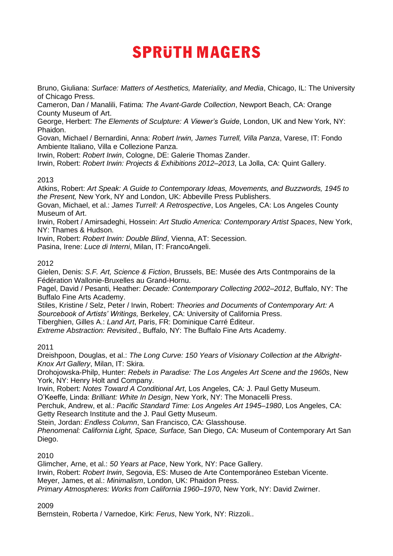Bruno, Giuliana: *Surface: Matters of Aesthetics, Materiality, and Media*, Chicago, IL: The University of Chicago Press.

Cameron, Dan / Manalili, Fatima: *The Avant-Garde Collection*, Newport Beach, CA: Orange County Museum of Art.

George, Herbert: *The Elements of Sculpture: A Viewer's Guide*, London, UK and New York, NY: Phaidon.

Govan, Michael / Bernardini, Anna: *Robert Irwin, James Turrell, Villa Panza*, Varese, IT: Fondo Ambiente Italiano, Villa e Collezione Panza.

Irwin, Robert: *Robert Irwin*, Cologne, DE: Galerie Thomas Zander.

Irwin, Robert: *Robert Irwin: Projects & Exhibitions 2012–2013*, La Jolla, CA: Quint Gallery.

#### 2013

Atkins, Robert: *Art Speak: A Guide to Contemporary Ideas, Movements, and Buzzwords, 1945 to the Present,* New York, NY and London, UK: Abbeville Press Publishers.

Govan, Michael, et al.: *James Turrell: A Retrospective*, Los Angeles, CA: Los Angeles County Museum of Art.

Irwin, Robert / Amirsadeghi, Hossein: *Art Studio America: Contemporary Artist Spaces*, New York, NY: Thames & Hudson.

Irwin, Robert: *Robert Irwin: Double Blind*, Vienna, AT: Secession.

Pasina, Irene: *Luce di Interni*, Milan, IT: FrancoAngeli.

#### 2012

Gielen, Denis: *S.F. Art, Science & Fiction*, Brussels, BE: Musée des Arts Contmporains de la Fédération Wallonie-Bruxelles au Grand-Hornu.

Pagel, David / Pesanti, Heather: *Decade: Contemporary Collecting 2002–2012*, Buffalo, NY: The Buffalo Fine Arts Academy.

Stiles, Kristine / Selz, Peter / Irwin, Robert: *Theories and Documents of Contemporary Art: A Sourcebook of Artists' Writings,* Berkeley, CA: University of California Press.

Tiberghien, Gilles A.: *Land Art*, Paris, FR: Dominique Carré Éditeur.

*Extreme Abstraction: Revisited*., Buffalo, NY: The Buffalo Fine Arts Academy.

#### 2011

Dreishpoon, Douglas, et al.: *The Long Curve: 150 Years of Visionary Collection at the Albright-Knox Art Gallery*, Milan, IT: Skira.

Drohojowska-Philp, Hunter: *Rebels in Paradise: The Los Angeles Art Scene and the 1960s*, New York, NY: Henry Holt and Company.

Irwin, Robert: *Notes Toward A Conditional Art*, Los Angeles, CA: J. Paul Getty Museum.

O'Keeffe, Linda: *Brilliant: White In Design*, New York, NY: The Monacelli Press.

Perchuk, Andrew, et al.: *Pacific Standard Time: Los Angeles Art 1945–1980*, Los Angeles, CA:

Getty Research Institute and the J. Paul Getty Museum.

Stein, Jordan: *Endless Column*, San Francisco, CA: Glasshouse.

*Phenomenal: California Light, Space, Surface,* San Diego, CA: Museum of Contemporary Art San Diego.

#### 2010

Glimcher, Arne, et al.: *50 Years at Pace*, New York, NY: Pace Gallery. Irwin, Robert: *Robert Irwin*, Segovia, ES: Museo de Arte Contemporáneo Esteban Vicente. Meyer, James, et al.: *Minimalism*, London, UK: Phaidon Press. *Primary Atmospheres: Works from California 1960–1970*, New York, NY: David Zwirner.

#### 2009

Bernstein, Roberta / Varnedoe, Kirk: *Ferus*, New York, NY: Rizzoli..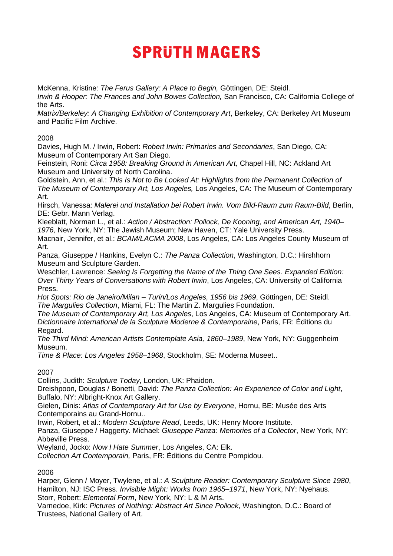McKenna, Kristine: *The Ferus Gallery: A Place to Begin,* Göttingen, DE: Steidl.

*Irwin & Hooper: The Frances and John Bowes Collection,* San Francisco, CA: California College of the Arts.

*Matrix/Berkeley: A Changing Exhibition of Contemporary Art*, Berkeley, CA: Berkeley Art Museum and Pacific Film Archive.

## 2008

Davies, Hugh M. / Irwin, Robert: *Robert Irwin: Primaries and Secondaries*, San Diego, CA: Museum of Contemporary Art San Diego.

Feinstein, Roni: *Circa 1958: Breaking Ground in American Art,* Chapel Hill, NC: Ackland Art Museum and University of North Carolina.

Goldstein, Ann, et al.: *This Is Not to Be Looked At: Highlights from the Permanent Collection of The Museum of Contemporary Art, Los Angeles,* Los Angeles, CA: The Museum of Contemporary Art.

Hirsch, Vanessa: *Malerei und Installation bei Robert Irwin. Vom Bild-Raum zum Raum-Bild*, Berlin, DE: Gebr. Mann Verlag.

Kleeblatt, Norman L., et al.: *Action / Abstraction: Pollock, De Kooning, and American Art, 1940– 1976,* New York, NY: The Jewish Museum; New Haven, CT: Yale University Press.

Macnair, Jennifer, et al.: *BCAM/LACMA 2008*, Los Angeles, CA: Los Angeles County Museum of Art.

Panza, Giuseppe / Hankins, Evelyn C.: *The Panza Collection*, Washington, D.C.: Hirshhorn Museum and Sculpture Garden.

Weschler, Lawrence: *Seeing Is Forgetting the Name of the Thing One Sees. Expanded Edition: Over Thirty Years of Conversations with Robert Irwin*, Los Angeles, CA: University of California Press.

*Hot Spots: Rio de Janeiro/Milan – Turin/Los Angeles, 1956 bis 1969*, Göttingen, DE: Steidl. *The Margulies Collection*, Miami, FL: The Martin Z. Margulies Foundation.

*The Museum of Contemporary Art, Los Angeles*, Los Angeles, CA: Museum of Contemporary Art. *Dictionnaire International de la Sculpture Moderne & Contemporaine*, Paris, FR: Éditions du Regard.

*The Third Mind: American Artists Contemplate Asia, 1860–1989*, New York, NY: Guggenheim Museum.

*Time & Place: Los Angeles 1958–1968*, Stockholm, SE: Moderna Museet..

## 2007

Collins, Judith: *Sculpture Today*, London, UK: Phaidon.

Dreishpoon, Douglas / Bonetti, David: *The Panza Collection: An Experience of Color and Light*, Buffalo, NY: Albright-Knox Art Gallery.

Gielen, Dinis: *Atlas of Contemporary Art for Use by Everyone*, Hornu, BE: Musée des Arts Contemporains au Grand-Hornu..

Irwin, Robert, et al.: *Modern Sculpture Read*, Leeds, UK: Henry Moore Institute.

Panza, Giuseppe / Haggerty. Michael: *Giuseppe Panza: Memories of a Collector*, New York, NY: Abbeville Press.

Weyland, Jocko: *Now I Hate Summer*, Los Angeles, CA: Elk.

*Collection Art Contemporain,* Paris, FR: Éditions du Centre Pompidou.

## 2006

Harper, Glenn / Moyer, Twylene, et al.: *A Sculpture Reader: Contemporary Sculpture Since 1980*, Hamilton, NJ: ISC Press. *Invisible Might: Works from 1965–1971*, New York, NY: Nyehaus. Storr, Robert: *Elemental Form*, New York, NY: L & M Arts.

Varnedoe, Kirk: *Pictures of Nothing: Abstract Art Since Pollock*, Washington, D.C.: Board of Trustees, National Gallery of Art.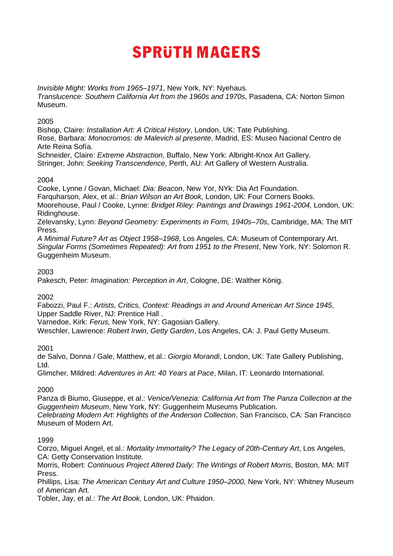*Invisible Might: Works from 1965–1971*, New York, NY: Nyehaus. *Translucence: Southern California Art from the 1960s and 1970s*, Pasadena, CA: Norton Simon Museum.

#### 2005

Bishop, Claire: *Installation Art: A Critical History*, London, UK: Tate Publishing. Rose, Barbara: *Monocromos: de Malevich al presente*, Madrid, ES: Museo Nacional Centro de Arte Reina Sofía.

Schneider, Claire: *Extreme Abstraction*, Buffalo, New York: Albright-Knox Art Gallery. Stringer, John: *Seeking Transcendence*, Perth, AU: Art Gallery of Western Australia.

## 2004

Cooke, Lynne / Govan, Michael: *Dia: Beacon*, New Yor, NYk: Dia Art Foundation. Farquharson, Alex, et al.: *Brian Wilson an Art Book,* London, UK: Four Corners Books. Moorehouse, Paul / Cooke, Lynne: *Bridget Riley: Paintings and Drawings 1961-2004,* London, UK: Ridinghouse.

Zelevansky, Lynn: *Beyond Geometry: Experiments in Form, 1940s–70s*, Cambridge, MA: The MIT Press.

*A Minimal Future? Art as Object 1958–1968*, Los Angeles, CA: Museum of Contemporary Art. *Singular Forms (Sometimes Repeated): Art from 1951 to the Present*, New York, NY: Solomon R. Guggenheim Museum.

## 2003

Pakesch, Peter: *Imagination: Perception in Art*, Cologne, DE: Walther König.

## 2002

Fabozzi, Paul F.: *Artists, Critics, Context: Readings in and Around American Art Since 1945*, Upper Saddle River, NJ: Prentice Hall .

Varnedoe, Kirk: *Ferus,* New York, NY: Gagosian Gallery.

Weschler, Lawrence: *Robert Irwin, Getty Garden*, Los Angeles, CA: J. Paul Getty Museum.

## 2001

de Salvo, Donna / Gale, Matthew, et al.: *Giorgio Morandi*, London, UK: Tate Gallery Publishing, Ltd.

Glimcher, Mildred: *Adventures in Art: 40 Years at Pace*, Milan, IT: Leonardo International.

## 2000

Panza di Biumo, Giuseppe, et al.: *Venice/Venezia: California Art from The Panza Collection at the Guggenheim Museum*, New York, NY: Guggenheim Museums Publication. *Celebrating Modern Art: Highlights of the Anderson Collection*, San Francisco, CA: San Francisco

Museum of Modern Art.

#### 1999

Corzo, Miguel Angel, et al.: *Mortality Immortality? The Legacy of 20th-Century Art*, Los Angeles, CA: Getty Conservation Institute.

Morris, Robert: *Continuous Project Altered Daily: The Writings of Robert Morris*, Boston, MA: MIT Press.

Phillips, Lisa: *The American Century Art and Culture 1950–2000*, New York, NY: Whitney Museum of American Art.

Tobler, Jay, et al.: *The Art Book,* London, UK: Phaidon.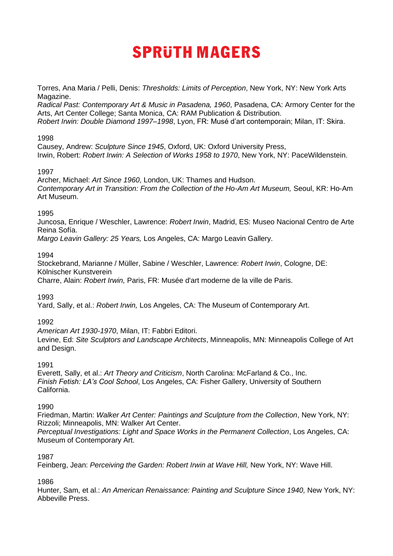Torres, Ana Maria / Pelli, Denis: *Thresholds: Limits of Perception*, New York, NY: New York Arts Magazine.

*Radical Past: Contemporary Art & Music in Pasadena, 1960*, Pasadena, CA: Armory Center for the Arts, Art Center College; Santa Monica, CA: RAM Publication & Distribution. *Robert Irwin: Double Diamond 1997–1998*, Lyon, FR: Musé d'art contemporain; Milan, IT: Skira.

#### 1998

Causey, Andrew: *Sculpture Since 1945*, Oxford, UK: Oxford University Press, Irwin, Robert: *Robert Irwin: A Selection of Works 1958 to 1970*, New York, NY: PaceWildenstein.

## 1997

Archer, Michael: *Art Since 1960*, London, UK: Thames and Hudson. Contemporary Art in Transition: From the Collection of the Ho-Am Art Museum, Seoul, KR: Ho-Am Art Museum.

#### 1995

Juncosa, Enrique / Weschler, Lawrence: *Robert Irwin*, Madrid, ES: Museo Nacional Centro de Arte Reina Sofía.

*Margo Leavin Gallery: 25 Years,* Los Angeles, CA: Margo Leavin Gallery.

## 1994

Stockebrand, Marianne / Müller, Sabine / Weschler, Lawrence: *Robert Irwin*, Cologne, DE: Kölnischer Kunstverein

Charre, Alain: *Robert Irwin,* Paris, FR: Musée d'art moderne de la ville de Paris.

1993

Yard, Sally, et al.: *Robert Irwin,* Los Angeles, CA: The Museum of Contemporary Art.

## 1992

*American Art 1930-1970*, Milan, IT: Fabbri Editori. Levine, Ed: *Site Sculptors and Landscape Architects*, Minneapolis, MN: Minneapolis College of Art and Design.

#### 1991

Everett, Sally, et al.: *Art Theory and Criticism*, North Carolina: McFarland & Co., Inc. *Finish Fetish: LA's Cool School*, Los Angeles, CA: Fisher Gallery, University of Southern California.

#### 1990

Friedman, Martin: *Walker Art Center: Paintings and Sculpture from the Collection*, New York, NY: Rizzoli; Minneapolis, MN: Walker Art Center.

*Perceptual Investigations: Light and Space Works in the Permanent Collection*, Los Angeles, CA: Museum of Contemporary Art.

## 1987

Feinberg, Jean: *Perceiving the Garden: Robert Irwin at Wave Hill,* New York, NY: Wave Hill.

## 1986

Hunter, Sam, et al.: *An American Renaissance: Painting and Sculpture Since 1940*, New York, NY: Abbeville Press.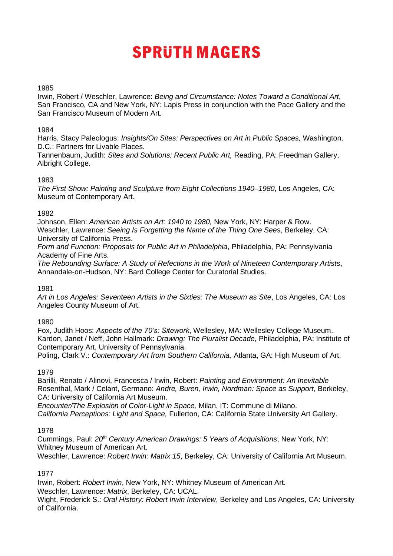#### 1985

Irwin, Robert / Weschler, Lawrence: *Being and Circumstance: Notes Toward a Conditional Art*, San Francisco, CA and New York, NY: Lapis Press in conjunction with the Pace Gallery and the San Francisco Museum of Modern Art.

#### 1984

Harris, Stacy Paleologus: *Insights/On Sites: Perspectives on Art in Public Spaces,* Washington, D.C.: Partners for Livable Places.

Tannenbaum, Judith: *Sites and Solutions: Recent Public Art,* Reading, PA: Freedman Gallery, Albright College.

#### 1983

*The First Show: Painting and Sculpture from Eight Collections 1940–1980*, Los Angeles, CA: Museum of Contemporary Art.

#### 1982

Johnson, Ellen: *American Artists on Art: 1940 to 1980,* New York, NY: Harper & Row. Weschler, Lawrence: *Seeing Is Forgetting the Name of the Thing One Sees*, Berkeley, CA: University of California Press.

*Form and Function: Proposals for Public Art in Philadelphia*, Philadelphia, PA: Pennsylvania Academy of Fine Arts.

*The Rebounding Surface: A Study of Refections in the Work of Nineteen Contemporary Artists*, Annandale-on-Hudson, NY: Bard College Center for Curatorial Studies.

## 1981

*Art in Los Angeles: Seventeen Artists in the Sixties: The Museum as Site*, Los Angeles, CA: Los Angeles County Museum of Art.

## 1980

Fox, Judith Hoos: *Aspects of the 70's: Sitework*, Wellesley, MA: Wellesley College Museum. Kardon, Janet / Neff, John Hallmark: *Drawing: The Pluralist Decade*, Philadelphia, PA: Institute of Contemporary Art, University of Pennsylvania.

Poling, Clark V.: *Contemporary Art from Southern California,* Atlanta, GA: High Museum of Art.

## 1979

Barilli, Renato / Alinovi, Francesca / Irwin, Robert: *Painting and Environment: An Inevitable*  Rosenthal, Mark / Celant, Germano: *Andre, Buren, Irwin, Nordman: Space as Support*, Berkeley, CA: University of California Art Museum.

*Encounter/The Explosion of Color-Light in Space,* Milan, IT: Commune di Milano. *California Perceptions: Light and Space,* Fullerton, CA: California State University Art Gallery.

#### 1978

Cummings, Paul: *20th Century American Drawings: 5 Years of Acquisitions*, New York, NY: Whitney Museum of American Art.

Weschler, Lawrence: *Robert Irwin: Matrix 15*, Berkeley, CA: University of California Art Museum.

## 1977

Irwin, Robert: *Robert Irwin*, New York, NY: Whitney Museum of American Art. Weschler, Lawrence: *Matrix*, Berkeley, CA: UCAL.

Wight, Frederick S.: *Oral History: Robert Irwin Interview*, Berkeley and Los Angeles, CA: University of California.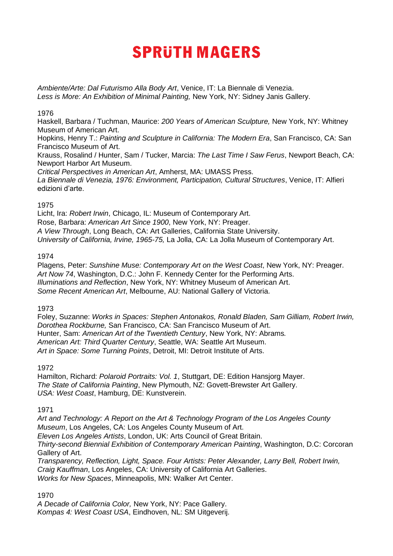*Ambiente/Arte: Dal Futurismo Alla Body Art*, Venice, IT: La Biennale di Venezia. Less is More: An Exhibition of Minimal Painting, New York, NY: Sidney Janis Gallery.

#### 1976

Haskell, Barbara / Tuchman, Maurice: *200 Years of American Sculpture,* New York, NY: Whitney Museum of American Art.

Hopkins, Henry T.: *Painting and Sculpture in California: The Modern Era*, San Francisco, CA: San Francisco Museum of Art.

Krauss, Rosalind / Hunter, Sam / Tucker, Marcia: *The Last Time I Saw Ferus*, Newport Beach, CA: Newport Harbor Art Museum.

*Critical Perspectives in American Art*, Amherst, MA: UMASS Press. *La Biennale di Venezia, 1976: Environment, Participation, Cultural Structures*, Venice, IT: Alfieri edizioni d'arte.

## 1975

Licht, Ira: *Robert Irwin*, Chicago, IL: Museum of Contemporary Art. Rose, Barbara: *American Art Since 1900*, New York, NY: Preager. *A View Through*, Long Beach, CA: Art Galleries, California State University. *University of California, Irvine, 1965-75,* La Jolla, CA: La Jolla Museum of Contemporary Art.

## 1974

Plagens, Peter: *Sunshine Muse: Contemporary Art on the West Coast*, New York, NY: Preager. *Art Now 74*, Washington, D.C.: John F. Kennedy Center for the Performing Arts. *Illuminations and Reflection*, New York, NY: Whitney Museum of American Art. *Some Recent American Art*, Melbourne, AU: National Gallery of Victoria.

## 1973

Foley, Suzanne: *Works in Spaces: Stephen Antonakos, Ronald Bladen, Sam Gilliam, Robert Irwin, Dorothea Rockburne,* San Francisco, CA: San Francisco Museum of Art. Hunter, Sam: *American Art of the Twentieth Century*, New York, NY: Abrams*. American Art: Third Quarter Century*, Seattle, WA: Seattle Art Museum. *Art in Space: Some Turning Points*, Detroit, MI: Detroit Institute of Arts.

## 1972

Hamilton, Richard: *Polaroid Portraits: Vol. 1*, Stuttgart, DE: Edition Hansjorg Mayer. *The State of California Painting*, New Plymouth, NZ: Govett-Brewster Art Gallery. *USA: West Coast*, Hamburg, DE: Kunstverein.

## 1971

*Art and Technology: A Report on the Art & Technology Program of the Los Angeles County Museum*, Los Angeles, CA: Los Angeles County Museum of Art. *Eleven Los Angeles Artists*, London, UK: Arts Council of Great Britain.

*Thirty-second Biennial Exhibition of Contemporary American Painting*, Washington, D.C: Corcoran Gallery of Art.

*Transparency, Reflection, Light, Space. Four Artists: Peter Alexander, Larry Bell, Robert Irwin, Craig Kauffman*, Los Angeles, CA: University of California Art Galleries. *Works for New Spaces*, Minneapolis, MN: Walker Art Center.

1970

*A Decade of California Color,* New York, NY: Pace Gallery. *Kompas 4: West Coast USA*, Eindhoven, NL: SM Uitgeverij.